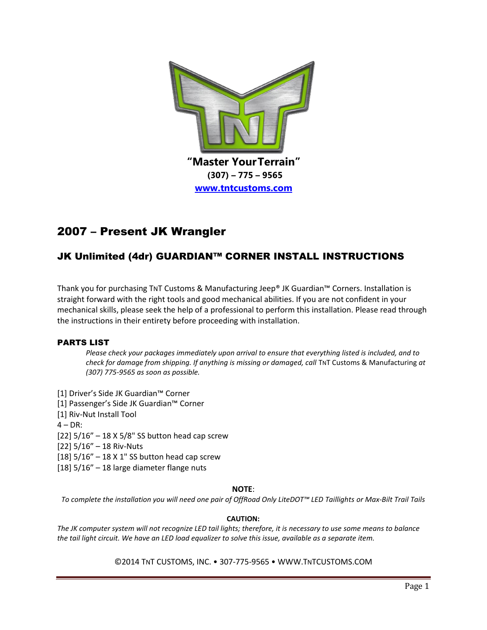

# 2007 – Present JK Wrangler

# JK Unlimited (4dr) GUARDIAN™ CORNER INSTALL INSTRUCTIONS

Thank you for purchasing TNT Customs & Manufacturing Jeep® JK Guardian™ Corners. Installation is straight forward with the right tools and good mechanical abilities. If you are not confident in your mechanical skills, please seek the help of a professional to perform this installation. Please read through the instructions in their entirety before proceeding with installation.

# PARTS LIST

*Please check your packages immediately upon arrival to ensure that everything listed is included, and to check for damage from shipping. If anything is missing or damaged, call TNT Customs & Manufacturing at (307) 775-9565 as soon as possible.*

- [1] Driver's Side JK Guardian™ Corner
- [1] Passenger's Side JK Guardian™ Corner
- [1] Riv-Nut Install Tool
- $4 DR$ :
- [22] 5/16" 18 X 5/8" SS button head cap screw
- [22] 5/16" 18 Riv-Nuts
- [18]  $5/16" 18 \times 1"$  SS button head cap screw
- [18] 5/16" 18 large diameter flange nuts

#### **NOTE**:

*To complete the installation you will need one pair of OffRoad Only LiteDOT™ LED Taillights or Max-Bilt Trail Tails*

#### **CAUTION:**

*The JK computer system will not recognize LED tail lights; therefore, it is necessary to use some means to balance the tail light circuit. We have an LED load equalizer to solve this issue, available as a separate item.*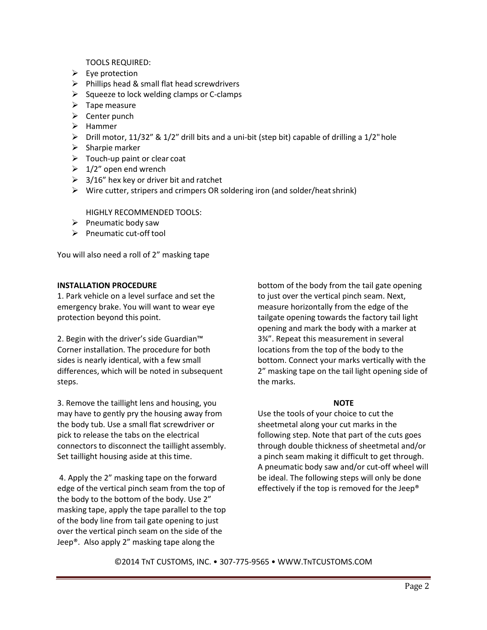TOOLS REQUIRED:

- $\triangleright$  Eye protection
- $\triangleright$  Phillips head & small flat head screwdrivers
- $\triangleright$  Squeeze to lock welding clamps or C-clamps
- $\triangleright$  Tape measure
- $\triangleright$  Center punch
- $\blacktriangleright$  Hammer
- $\triangleright$  Drill motor, 11/32" & 1/2" drill bits and a uni-bit (step bit) capable of drilling a 1/2" hole
- $\triangleright$  Sharpie marker
- $\triangleright$  Touch-up paint or clear coat
- $\geq 1/2$ " open end wrench
- $\geq$  3/16" hex key or driver bit and ratchet
- $\triangleright$  Wire cutter, stripers and crimpers OR soldering iron (and solder/heat shrink)

HIGHLY RECOMMENDED TOOLS:

- $\triangleright$  Pneumatic body saw
- $\triangleright$  Pneumatic cut-off tool

You will also need a roll of 2" masking tape

### **INSTALLATION PROCEDURE**

1. Park vehicle on a level surface and set the emergency brake. You will want to wear eye protection beyond this point.

2. Begin with the driver's side Guardian™ Corner installation. The procedure for both sides is nearly identical, with a few small differences, which will be noted in subsequent steps.

3. Remove the taillight lens and housing, you may have to gently pry the housing away from the body tub. Use a small flat screwdriver or pick to release the tabs on the electrical connectors to disconnect the taillight assembly. Set taillight housing aside at this time.

4. Apply the 2" masking tape on the forward edge of the vertical pinch seam from the top of the body to the bottom of the body. Use 2" masking tape, apply the tape parallel to the top of the body line from tail gate opening to just over the vertical pinch seam on the side of the Jeep®. Also apply 2" masking tape along the

bottom of the body from the tail gate opening to just over the vertical pinch seam. Next, measure horizontally from the edge of the tailgate opening towards the factory tail light opening and mark the body with a marker at 3¾". Repeat this measurement in several locations from the top of the body to the bottom. Connect your marks vertically with the 2" masking tape on the tail light opening side of the marks.

#### **NOTE**

Use the tools of your choice to cut the sheetmetal along your cut marks in the following step. Note that part of the cuts goes through double thickness of sheetmetal and/or a pinch seam making it difficult to get through. A pneumatic body saw and/or cut-off wheel will be ideal. The following steps will only be done effectively if the top is removed for the Jeep®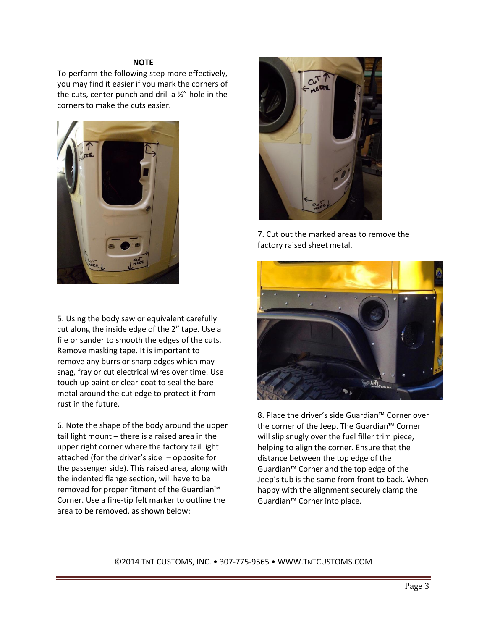#### **NOTE**

To perform the following step more effectively, you may find it easier if you mark the corners of the cuts, center punch and drill a ¼" hole in the corners to make the cuts easier.



5. Using the body saw or equivalent carefully cut along the inside edge of the 2" tape. Use a file or sander to smooth the edges of the cuts. Remove masking tape. It is important to remove any burrs or sharp edges which may snag, fray or cut electrical wires over time. Use touch up paint or clear-coat to seal the bare metal around the cut edge to protect it from rust in the future.

6. Note the shape of the body around the upper tail light mount – there is a raised area in the upper right corner where the factory tail light attached (for the driver's side – opposite for the passenger side). This raised area, along with the indented flange section, will have to be removed for proper fitment of the Guardian™ Corner. Use a fine-tip felt marker to outline the area to be removed, as shown below:



7. Cut out the marked areas to remove the factory raised sheet metal.



8. Place the driver's side Guardian™ Corner over the corner of the Jeep. The Guardian™ Corner will slip snugly over the fuel filler trim piece, helping to align the corner. Ensure that the distance between the top edge of the Guardian™ Corner and the top edge of the Jeep's tub is the same from front to back. When happy with the alignment securely clamp the Guardian™ Corner into place.